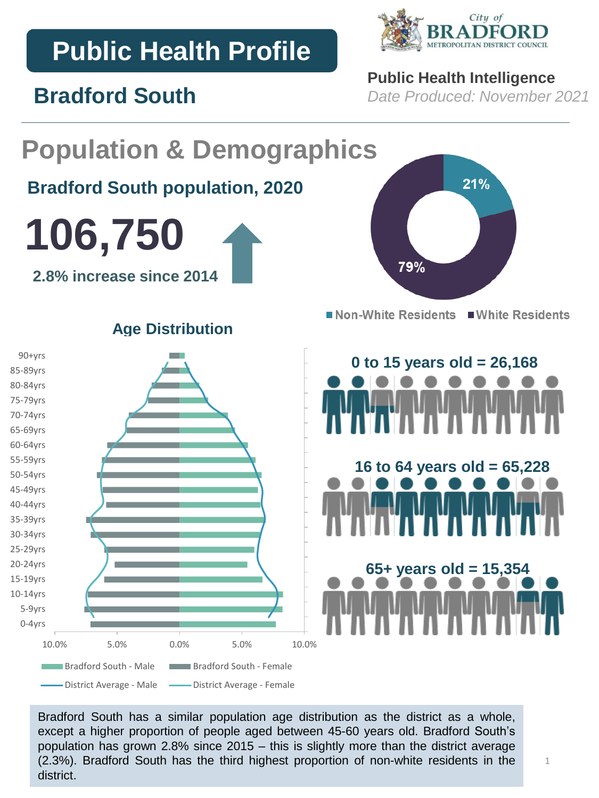# **Public Health Profile**

**Bradford South**



## **Public Health Intelligence**

*Date Produced: November 2021*

### **Population & Demographics** 21% **Bradford South population, 2020 106,750** 79% **2.8% increase since 2014** ■ Non-White Residents ■ White Residents **Age Distribution** 90+yrs **0 to 15 years old = 26,168** 85-89yrs 80-84yrs 75-79yrs 70-74yrs 65-69yrs 60-64yrs 55-59yrs **16 to 64 years old = 65,228**  50-54yrs 45-49yrs 40-44yrs 35-39yrs 30-34yrs 25-29yrs 20-24yrs **65+ years old = 15,354** 15-19yrs 10-14yrs 5-9yrs 0-4yrs 10.0% 5.0% 0.0% 5.0% 10.0% Bradford South - Male Bradford South - Female - District Average - Male — District Average - Female

Bradford South has a similar population age distribution as the district as a whole, except a higher proportion of people aged between 45-60 years old. Bradford South's population has grown 2.8% since 2015 – this is slightly more than the district average (2.3%). Bradford South has the third highest proportion of non-white residents in the district.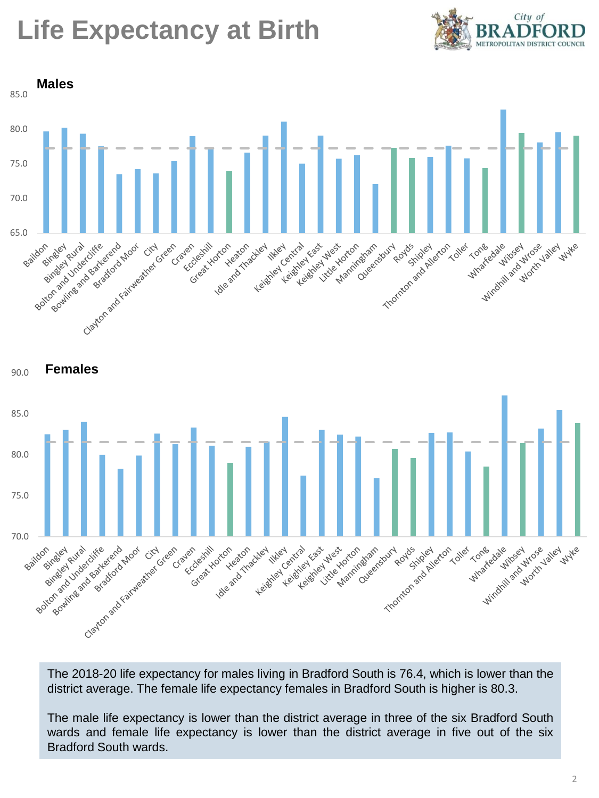# **Life Expectancy at Birth**







The 2018-20 life expectancy for males living in Bradford South is 76.4, which is lower than the district average. The female life expectancy females in Bradford South is higher is 80.3.

The male life expectancy is lower than the district average in three of the six Bradford South wards and female life expectancy is lower than the district average in five out of the six Bradford South wards.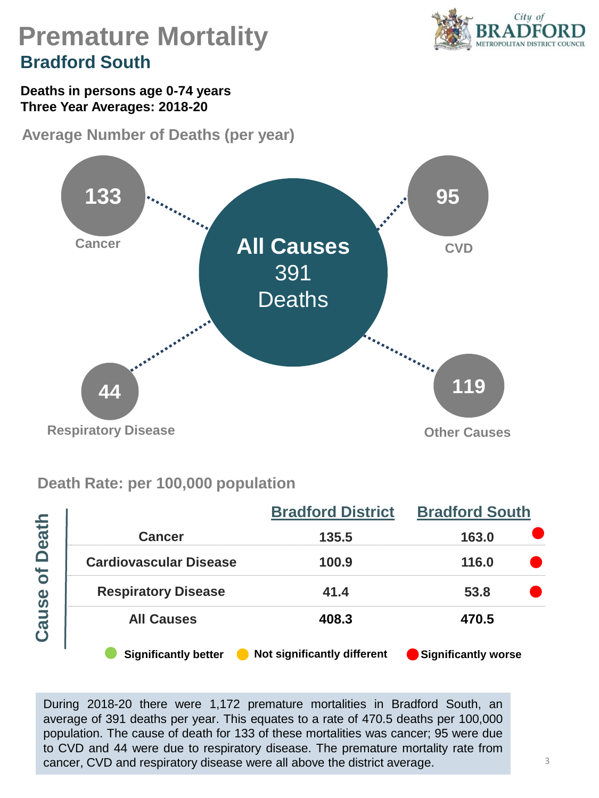

## **Premature Mortality Bradford South**

**Deaths in persons age 0-74 years Three Year Averages: 2018-20**

**Average Number of Deaths (per year)** 



### **Death Rate: per 100,000 population**

|                                   |                               | <b>Bradford District</b>    | <b>Bradford South</b><br>163.0<br>116.0<br>53.8 |  |  |
|-----------------------------------|-------------------------------|-----------------------------|-------------------------------------------------|--|--|
| <b>Death</b><br><b>b</b><br>Cause | <b>Cancer</b>                 | 135.5                       |                                                 |  |  |
|                                   | <b>Cardiovascular Disease</b> | 100.9                       |                                                 |  |  |
|                                   | <b>Respiratory Disease</b>    | 41.4                        |                                                 |  |  |
|                                   | <b>All Causes</b>             | 408.3                       | 470.5                                           |  |  |
|                                   | <b>Significantly better</b>   | Not significantly different | Significantly worse                             |  |  |

During 2018-20 there were 1,172 premature mortalities in Bradford South, an average of 391 deaths per year. This equates to a rate of 470.5 deaths per 100,000 population. The cause of death for 133 of these mortalities was cancer; 95 were due to CVD and 44 were due to respiratory disease. The premature mortality rate from cancer, CVD and respiratory disease were all above the district average.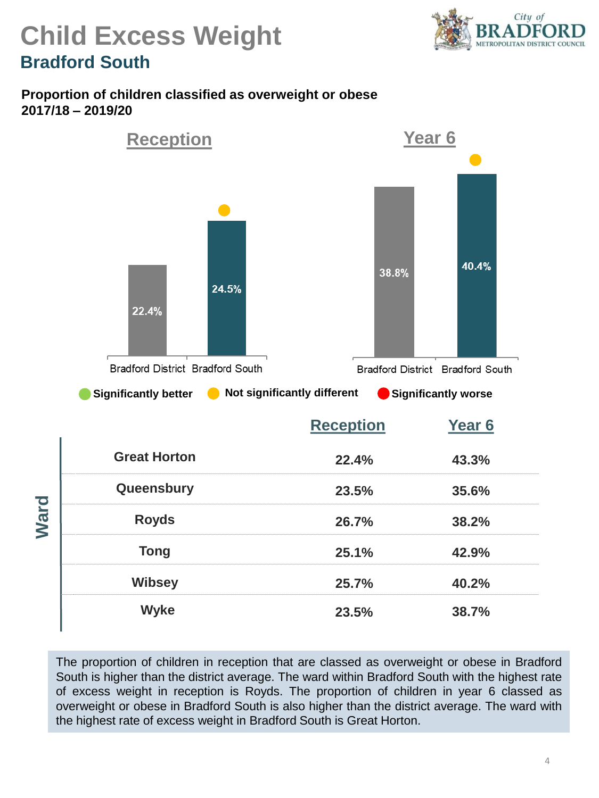

## **Child Excess Weight Bradford South**

#### **Proportion of children classified as overweight or obese 2017/18 – 2019/20**



The proportion of children in reception that are classed as overweight or obese in Bradford South is higher than the district average. The ward within Bradford South with the highest rate of excess weight in reception is Royds. The proportion of children in year 6 classed as overweight or obese in Bradford South is also higher than the district average. The ward with the highest rate of excess weight in Bradford South is Great Horton.